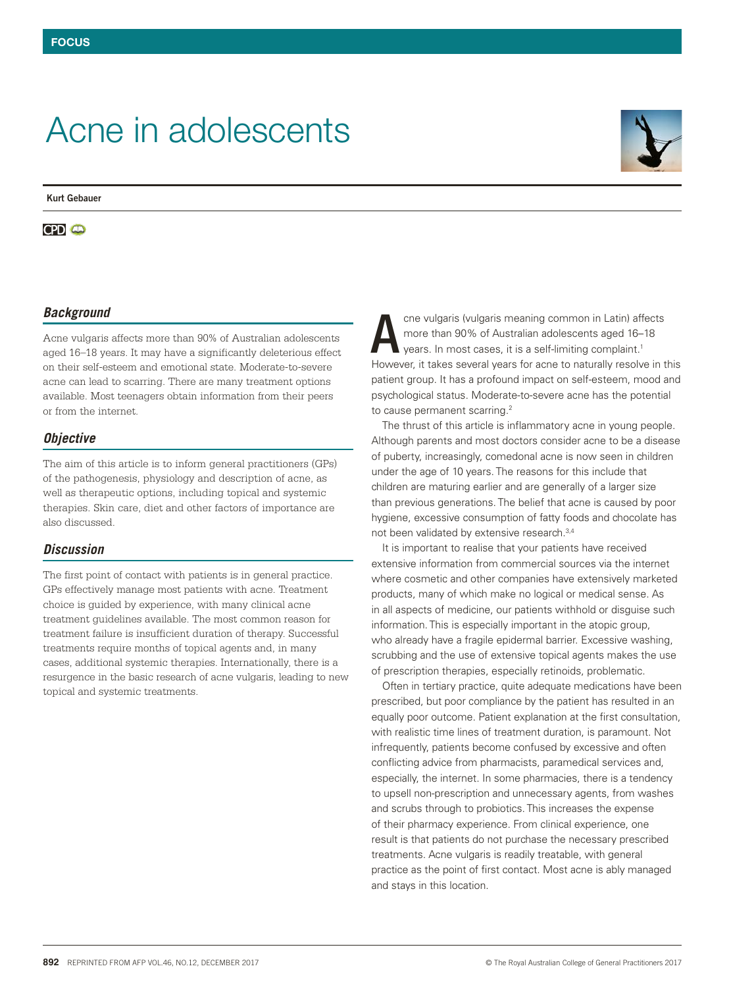# Acne in adolescents

**Kurt Gebauer**

**CPD a** 

## *Background*

Acne vulgaris affects more than 90% of Australian adolescents aged 16–18 years. It may have a significantly deleterious effect on their self-esteem and emotional state. Moderate-to-severe acne can lead to scarring. There are many treatment options available. Most teenagers obtain information from their peers or from the internet.

#### *Objective*

The aim of this article is to inform general practitioners (GPs) of the pathogenesis, physiology and description of acne, as well as therapeutic options, including topical and systemic therapies. Skin care, diet and other factors of importance are also discussed.

#### *Discussion*

The first point of contact with patients is in general practice. GPs effectively manage most patients with acne. Treatment choice is guided by experience, with many clinical acne treatment guidelines available. The most common reason for treatment failure is insufficient duration of therapy. Successful treatments require months of topical agents and, in many cases, additional systemic therapies. Internationally, there is a resurgence in the basic research of acne vulgaris, leading to new topical and systemic treatments.

cne vulgaris (vulgaris meaning common in Latin) affects more than 90% of Australian adolescents aged 16–18 years. In most cases, it is a self-limiting complaint.1 However, it takes several years for acne to naturally resolve in this patient group. It has a profound impact on self-esteem, mood and psychological status. Moderate-to-severe acne has the potential to cause permanent scarring.<sup>2</sup> A

The thrust of this article is inflammatory acne in young people. Although parents and most doctors consider acne to be a disease of puberty, increasingly, comedonal acne is now seen in children under the age of 10 years. The reasons for this include that children are maturing earlier and are generally of a larger size than previous generations. The belief that acne is caused by poor hygiene, excessive consumption of fatty foods and chocolate has not been validated by extensive research.3,4

It is important to realise that your patients have received extensive information from commercial sources via the internet where cosmetic and other companies have extensively marketed products, many of which make no logical or medical sense. As in all aspects of medicine, our patients withhold or disguise such information. This is especially important in the atopic group, who already have a fragile epidermal barrier. Excessive washing, scrubbing and the use of extensive topical agents makes the use of prescription therapies, especially retinoids, problematic.

Often in tertiary practice, quite adequate medications have been prescribed, but poor compliance by the patient has resulted in an equally poor outcome. Patient explanation at the first consultation, with realistic time lines of treatment duration, is paramount. Not infrequently, patients become confused by excessive and often conflicting advice from pharmacists, paramedical services and, especially, the internet. In some pharmacies, there is a tendency to upsell non-prescription and unnecessary agents, from washes and scrubs through to probiotics. This increases the expense of their pharmacy experience. From clinical experience, one result is that patients do not purchase the necessary prescribed treatments. Acne vulgaris is readily treatable, with general practice as the point of first contact. Most acne is ably managed and stays in this location.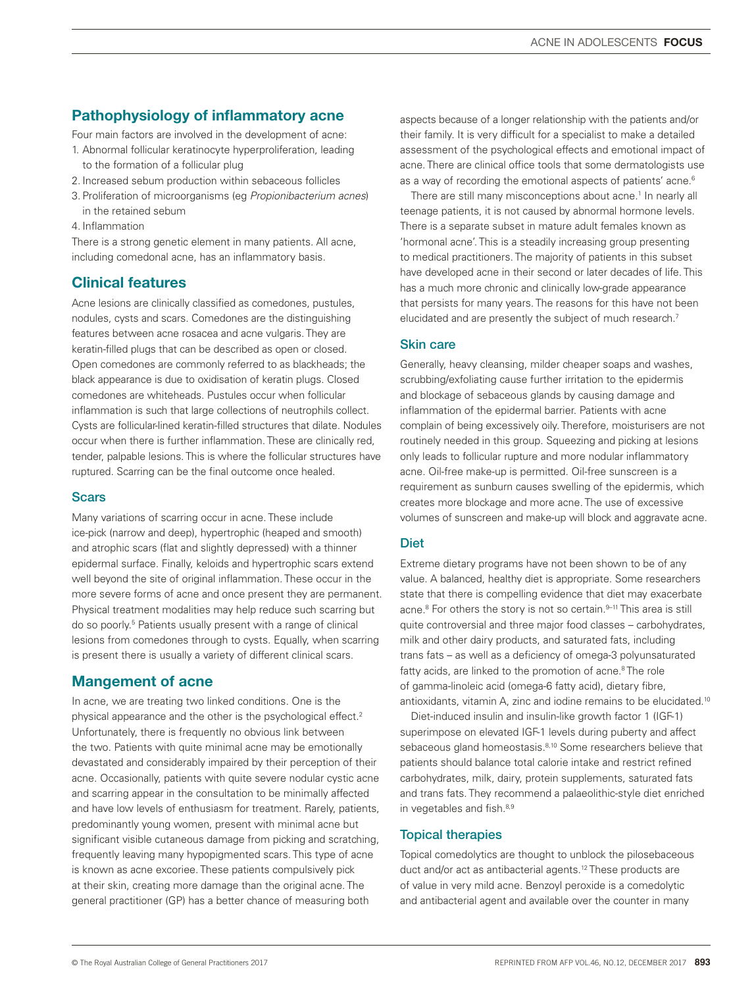# Pathophysiology of inflammatory acne

Four main factors are involved in the development of acne:

- 1. Abnormal follicular keratinocyte hyperproliferation, leading to the formation of a follicular plug
- 2. Increased sebum production within sebaceous follicles
- 3. Proliferation of microorganisms (eg *Propionibacterium acnes*) in the retained sebum
- 4. Inflammation

There is a strong genetic element in many patients. All acne, including comedonal acne, has an inflammatory basis.

# Clinical features

Acne lesions are clinically classified as comedones, pustules, nodules, cysts and scars. Comedones are the distinguishing features between acne rosacea and acne vulgaris. They are keratin-filled plugs that can be described as open or closed. Open comedones are commonly referred to as blackheads; the black appearance is due to oxidisation of keratin plugs. Closed comedones are whiteheads. Pustules occur when follicular inflammation is such that large collections of neutrophils collect. Cysts are follicular-lined keratin-filled structures that dilate. Nodules occur when there is further inflammation. These are clinically red, tender, palpable lesions. This is where the follicular structures have ruptured. Scarring can be the final outcome once healed.

### **Scars**

Many variations of scarring occur in acne. These include ice-pick (narrow and deep), hypertrophic (heaped and smooth) and atrophic scars (flat and slightly depressed) with a thinner epidermal surface. Finally, keloids and hypertrophic scars extend well beyond the site of original inflammation. These occur in the more severe forms of acne and once present they are permanent. Physical treatment modalities may help reduce such scarring but do so poorly.<sup>5</sup> Patients usually present with a range of clinical lesions from comedones through to cysts. Equally, when scarring is present there is usually a variety of different clinical scars.

## Mangement of acne

In acne, we are treating two linked conditions. One is the physical appearance and the other is the psychological effect.<sup>2</sup> Unfortunately, there is frequently no obvious link between the two. Patients with quite minimal acne may be emotionally devastated and considerably impaired by their perception of their acne. Occasionally, patients with quite severe nodular cystic acne and scarring appear in the consultation to be minimally affected and have low levels of enthusiasm for treatment. Rarely, patients, predominantly young women, present with minimal acne but significant visible cutaneous damage from picking and scratching, frequently leaving many hypopigmented scars. This type of acne is known as acne excoriee. These patients compulsively pick at their skin, creating more damage than the original acne. The general practitioner (GP) has a better chance of measuring both

aspects because of a longer relationship with the patients and/or their family. It is very difficult for a specialist to make a detailed assessment of the psychological effects and emotional impact of acne. There are clinical office tools that some dermatologists use as a way of recording the emotional aspects of patients' acne.<sup>6</sup>

There are still many misconceptions about acne.<sup>1</sup> In nearly all teenage patients, it is not caused by abnormal hormone levels. There is a separate subset in mature adult females known as 'hormonal acne'. This is a steadily increasing group presenting to medical practitioners. The majority of patients in this subset have developed acne in their second or later decades of life. This has a much more chronic and clinically low-grade appearance that persists for many years. The reasons for this have not been elucidated and are presently the subject of much research.<sup>7</sup>

#### Skin care

Generally, heavy cleansing, milder cheaper soaps and washes, scrubbing/exfoliating cause further irritation to the epidermis and blockage of sebaceous glands by causing damage and inflammation of the epidermal barrier. Patients with acne complain of being excessively oily. Therefore, moisturisers are not routinely needed in this group. Squeezing and picking at lesions only leads to follicular rupture and more nodular inflammatory acne. Oil-free make-up is permitted. Oil-free sunscreen is a requirement as sunburn causes swelling of the epidermis, which creates more blockage and more acne. The use of excessive volumes of sunscreen and make-up will block and aggravate acne.

## **Diet**

Extreme dietary programs have not been shown to be of any value. A balanced, healthy diet is appropriate. Some researchers state that there is compelling evidence that diet may exacerbate acne.<sup>8</sup> For others the story is not so certain.<sup>9-11</sup> This area is still quite controversial and three major food classes – carbohydrates, milk and other dairy products, and saturated fats, including trans fats – as well as a deficiency of omega-3 polyunsaturated fatty acids, are linked to the promotion of acne.<sup>8</sup> The role of gamma-linoleic acid (omega-6 fatty acid), dietary fibre, antioxidants, vitamin A, zinc and iodine remains to be elucidated.10

Diet-induced insulin and insulin-like growth factor 1 (IGF-1) superimpose on elevated IGF-1 levels during puberty and affect sebaceous gland homeostasis.<sup>8,10</sup> Some researchers believe that patients should balance total calorie intake and restrict refined carbohydrates, milk, dairy, protein supplements, saturated fats and trans fats. They recommend a palaeolithic-style diet enriched in vegetables and fish.<sup>8,9</sup>

## Topical therapies

Topical comedolytics are thought to unblock the pilosebaceous duct and/or act as antibacterial agents.12 These products are of value in very mild acne. Benzoyl peroxide is a comedolytic and antibacterial agent and available over the counter in many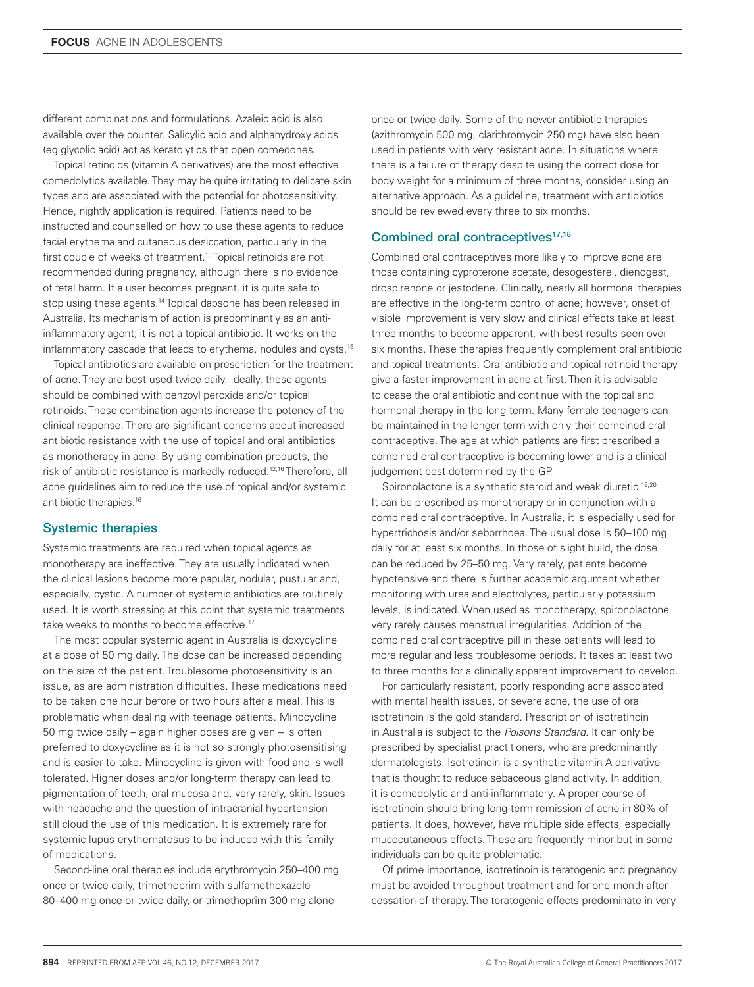different combinations and formulations. Azaleic acid is also available over the counter. Salicylic acid and alphahydroxy acids (eg glycolic acid) act as keratolytics that open comedones.

Topical retinoids (vitamin A derivatives) are the most effective comedolytics available. They may be quite irritating to delicate skin types and are associated with the potential for photosensitivity. Hence, nightly application is required. Patients need to be instructed and counselled on how to use these agents to reduce facial erythema and cutaneous desiccation, particularly in the first couple of weeks of treatment.<sup>13</sup> Topical retinoids are not recommended during pregnancy, although there is no evidence of fetal harm. If a user becomes pregnant, it is quite safe to stop using these agents.14 Topical dapsone has been released in Australia. Its mechanism of action is predominantly as an antiinflammatory agent; it is not a topical antibiotic. It works on the inflammatory cascade that leads to erythema, nodules and cysts.15

Topical antibiotics are available on prescription for the treatment of acne. They are best used twice daily. Ideally, these agents should be combined with benzoyl peroxide and/or topical retinoids. These combination agents increase the potency of the clinical response. There are significant concerns about increased antibiotic resistance with the use of topical and oral antibiotics as monotherapy in acne. By using combination products, the risk of antibiotic resistance is markedly reduced.12,16 Therefore, all acne guidelines aim to reduce the use of topical and/or systemic antibiotic therapies.16

#### Systemic therapies

Systemic treatments are required when topical agents as monotherapy are ineffective. They are usually indicated when the clinical lesions become more papular, nodular, pustular and, especially, cystic. A number of systemic antibiotics are routinely used. It is worth stressing at this point that systemic treatments take weeks to months to become effective.<sup>17</sup>

The most popular systemic agent in Australia is doxycycline at a dose of 50 mg daily. The dose can be increased depending on the size of the patient. Troublesome photosensitivity is an issue, as are administration difficulties. These medications need to be taken one hour before or two hours after a meal. This is problematic when dealing with teenage patients. Minocycline 50 mg twice daily – again higher doses are given – is often preferred to doxycycline as it is not so strongly photosensitising and is easier to take. Minocycline is given with food and is well tolerated. Higher doses and/or long-term therapy can lead to pigmentation of teeth, oral mucosa and, very rarely, skin. Issues with headache and the question of intracranial hypertension still cloud the use of this medication. It is extremely rare for systemic lupus erythematosus to be induced with this family of medications.

Second-line oral therapies include erythromycin 250–400 mg once or twice daily, trimethoprim with sulfamethoxazole 80–400 mg once or twice daily, or trimethoprim 300 mg alone

once or twice daily. Some of the newer antibiotic therapies (azithromycin 500 mg, clarithromycin 250 mg) have also been used in patients with very resistant acne. In situations where there is a failure of therapy despite using the correct dose for body weight for a minimum of three months, consider using an alternative approach. As a guideline, treatment with antibiotics should be reviewed every three to six months.

#### Combined oral contraceptives<sup>17,18</sup>

Combined oral contraceptives more likely to improve acne are those containing cyproterone acetate, desogesterel, dienogest, drospirenone or jestodene. Clinically, nearly all hormonal therapies are effective in the long-term control of acne; however, onset of visible improvement is very slow and clinical effects take at least three months to become apparent, with best results seen over six months. These therapies frequently complement oral antibiotic and topical treatments. Oral antibiotic and topical retinoid therapy give a faster improvement in acne at first. Then it is advisable to cease the oral antibiotic and continue with the topical and hormonal therapy in the long term. Many female teenagers can be maintained in the longer term with only their combined oral contraceptive. The age at which patients are first prescribed a combined oral contraceptive is becoming lower and is a clinical judgement best determined by the GP.

Spironolactone is a synthetic steroid and weak diuretic.<sup>19,20</sup> It can be prescribed as monotherapy or in conjunction with a combined oral contraceptive. In Australia, it is especially used for hypertrichosis and/or seborrhoea. The usual dose is 50–100 mg daily for at least six months. In those of slight build, the dose can be reduced by 25–50 mg. Very rarely, patients become hypotensive and there is further academic argument whether monitoring with urea and electrolytes, particularly potassium levels, is indicated. When used as monotherapy, spironolactone very rarely causes menstrual irregularities. Addition of the combined oral contraceptive pill in these patients will lead to more regular and less troublesome periods. It takes at least two to three months for a clinically apparent improvement to develop.

For particularly resistant, poorly responding acne associated with mental health issues, or severe acne, the use of oral isotretinoin is the gold standard. Prescription of isotretinoin in Australia is subject to the *Poisons Standard*. It can only be prescribed by specialist practitioners, who are predominantly dermatologists. Isotretinoin is a synthetic vitamin A derivative that is thought to reduce sebaceous gland activity. In addition, it is comedolytic and anti-inflammatory. A proper course of isotretinoin should bring long-term remission of acne in 80% of patients. It does, however, have multiple side effects, especially mucocutaneous effects. These are frequently minor but in some individuals can be quite problematic.

Of prime importance, isotretinoin is teratogenic and pregnancy must be avoided throughout treatment and for one month after cessation of therapy. The teratogenic effects predominate in very